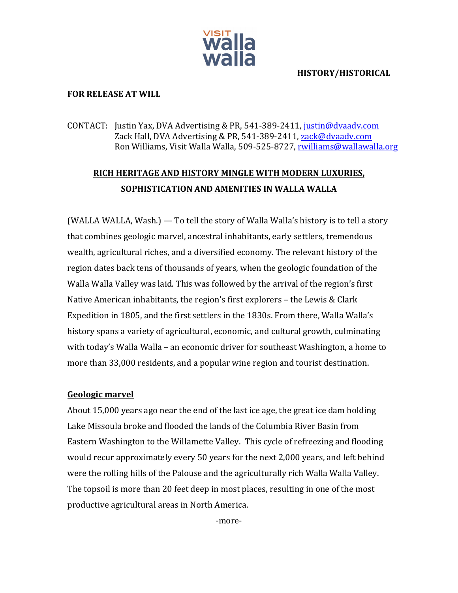

#### **HISTORY/HISTORICAL**

#### **FOR RELEASE AT WILL**

CONTACT: Justin Yax, DVA Advertising & PR, 541-389-2411, justin@dvaadv.com Zack Hall, DVA Advertising & PR, 541-389-2411, zack@dvaadv.com Ron Williams, Visit Walla Walla, 509-525-8727, rwilliams@wallawalla.org

# **RICH HERITAGE AND HISTORY MINGLE WITH MODERN LUXURIES, SOPHISTICATION AND AMENITIES IN WALLA WALLA**

(WALLA WALLA, Wash.)  $-$  To tell the story of Walla Walla's history is to tell a story that combines geologic marvel, ancestral inhabitants, early settlers, tremendous wealth, agricultural riches, and a diversified economy. The relevant history of the region dates back tens of thousands of years, when the geologic foundation of the Walla Walla Valley was laid. This was followed by the arrival of the region's first Native American inhabitants, the region's first explorers – the Lewis & Clark Expedition in 1805, and the first settlers in the 1830s. From there, Walla Walla's history spans a variety of agricultural, economic, and cultural growth, culminating with today's Walla Walla – an economic driver for southeast Washington, a home to more than 33,000 residents, and a popular wine region and tourist destination.

#### **Geologic marvel**

About 15,000 years ago near the end of the last ice age, the great ice dam holding Lake Missoula broke and flooded the lands of the Columbia River Basin from Eastern Washington to the Willamette Valley. This cycle of refreezing and flooding would recur approximately every 50 years for the next 2,000 years, and left behind were the rolling hills of the Palouse and the agriculturally rich Walla Walla Valley. The topsoil is more than 20 feet deep in most places, resulting in one of the most productive agricultural areas in North America.

-more-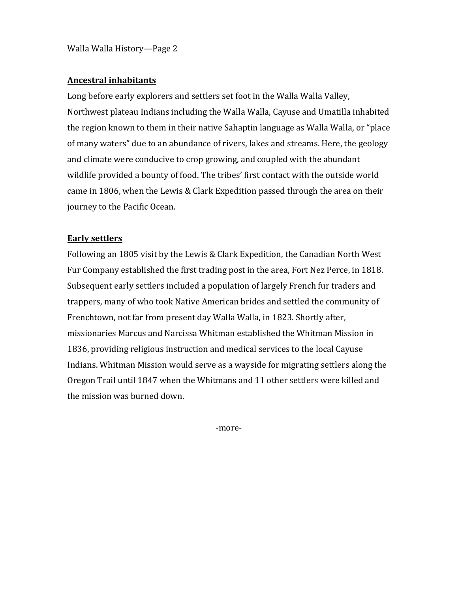Walla Walla History—Page 2

#### **Ancestral inhabitants**

Long before early explorers and settlers set foot in the Walla Walla Valley, Northwest plateau Indians including the Walla Walla, Cayuse and Umatilla inhabited the region known to them in their native Sahaptin language as Walla Walla, or "place of many waters" due to an abundance of rivers, lakes and streams. Here, the geology and climate were conducive to crop growing, and coupled with the abundant wildlife provided a bounty of food. The tribes' first contact with the outside world came in 1806, when the Lewis & Clark Expedition passed through the area on their journey to the Pacific Ocean.

## **Early settlers**

Following an 1805 visit by the Lewis & Clark Expedition, the Canadian North West Fur Company established the first trading post in the area, Fort Nez Perce, in 1818. Subsequent early settlers included a population of largely French fur traders and trappers, many of who took Native American brides and settled the community of Frenchtown, not far from present day Walla Walla, in 1823. Shortly after, missionaries Marcus and Narcissa Whitman established the Whitman Mission in 1836, providing religious instruction and medical services to the local Cayuse Indians. Whitman Mission would serve as a wayside for migrating settlers along the Oregon Trail until 1847 when the Whitmans and 11 other settlers were killed and the mission was burned down.

-more-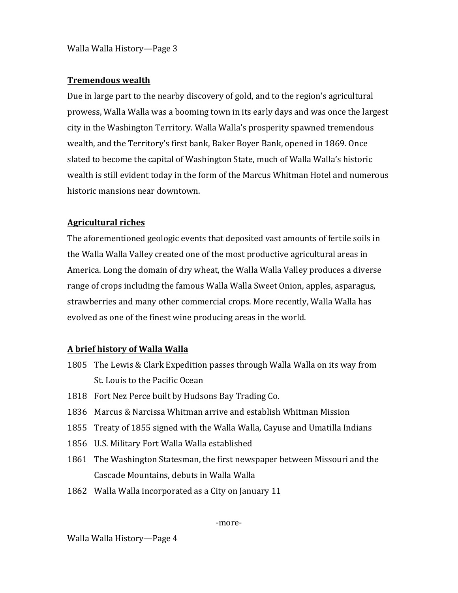Walla Walla History—Page 3

## **Tremendous wealth**

Due in large part to the nearby discovery of gold, and to the region's agricultural prowess, Walla Walla was a booming town in its early days and was once the largest city in the Washington Territory. Walla Walla's prosperity spawned tremendous wealth, and the Territory's first bank, Baker Boyer Bank, opened in 1869. Once slated to become the capital of Washington State, much of Walla Walla's historic wealth is still evident today in the form of the Marcus Whitman Hotel and numerous historic mansions near downtown.

# **Agricultural riches**

The aforementioned geologic events that deposited vast amounts of fertile soils in the Walla Walla Valley created one of the most productive agricultural areas in America. Long the domain of dry wheat, the Walla Walla Valley produces a diverse range of crops including the famous Walla Walla Sweet Onion, apples, asparagus, strawberries and many other commercial crops. More recently, Walla Walla has evolved as one of the finest wine producing areas in the world.

# **A brief history of Walla Walla**

- 1805 The Lewis & Clark Expedition passes through Walla Walla on its way from St. Louis to the Pacific Ocean
- 1818 Fort Nez Perce built by Hudsons Bay Trading Co.
- 1836 Marcus & Narcissa Whitman arrive and establish Whitman Mission
- 1855 Treaty of 1855 signed with the Walla Walla, Cayuse and Umatilla Indians
- 1856 U.S. Military Fort Walla Walla established
- 1861 The Washington Statesman, the first newspaper between Missouri and the Cascade Mountains, debuts in Walla Walla
- 1862 Walla Walla incorporated as a City on January 11

-more-